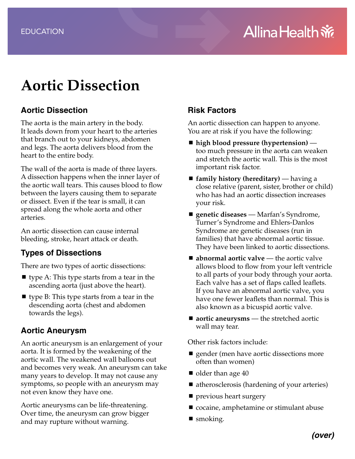# **Aortic Dissection**

#### **Aortic Dissection**

The aorta is the main artery in the body. It leads down from your heart to the arteries that branch out to your kidneys, abdomen and legs. The aorta delivers blood from the heart to the entire body.

The wall of the aorta is made of three layers. A dissection happens when the inner layer of the aortic wall tears. This causes blood to flow between the layers causing them to separate or dissect. Even if the tear is small, it can spread along the whole aorta and other arteries.

An aortic dissection can cause internal bleeding, stroke, heart attack or death.

## **Types of Dissections**

There are two types of aortic dissections:

- $\blacksquare$  type A: This type starts from a tear in the ascending aorta (just above the heart).
- $\blacksquare$  type B: This type starts from a tear in the descending aorta (chest and abdomen towards the legs).

## **Aortic Aneurysm**

An aortic aneurysm is an enlargement of your aorta. It is formed by the weakening of the aortic wall. The weakened wall balloons out and becomes very weak. An aneurysm can take many years to develop. It may not cause any symptoms, so people with an aneurysm may not even know they have one.

Aortic aneurysms can be life-threatening. Over time, the aneurysm can grow bigger and may rupture without warning.

# **Risk Factors**

An aortic dissection can happen to anyone. You are at risk if you have the following:

- high blood pressure (hypertension) too much pressure in the aorta can weaken and stretch the aortic wall. This is the most important risk factor.
- **family history (hereditary)** having a close relative (parent, sister, brother or child) who has had an aortic dissection increases your risk.
- genetic diseases Marfan's Syndrome, Turner's Syndrome and Ehlers-Danlos Syndrome are genetic diseases (run in families) that have abnormal aortic tissue. They have been linked to aortic dissections.
- **abnormal aortic valve** the aortic valve allows blood to flow from your left ventricle to all parts of your body through your aorta. Each valve has a set of flaps called leaflets. If you have an abnormal aortic valve, you have one fewer leaflets than normal. This is also known as a bicuspid aortic valve.
- **aortic aneurysms** the stretched aortic wall may tear.

Other risk factors include:

- **quelager** (men have aortic dissections more often than women)
- $\blacksquare$  older than age 40
- atherosclerosis (hardening of your arteries)
- previous heart surgery
- cocaine, amphetamine or stimulant abuse
- smoking.